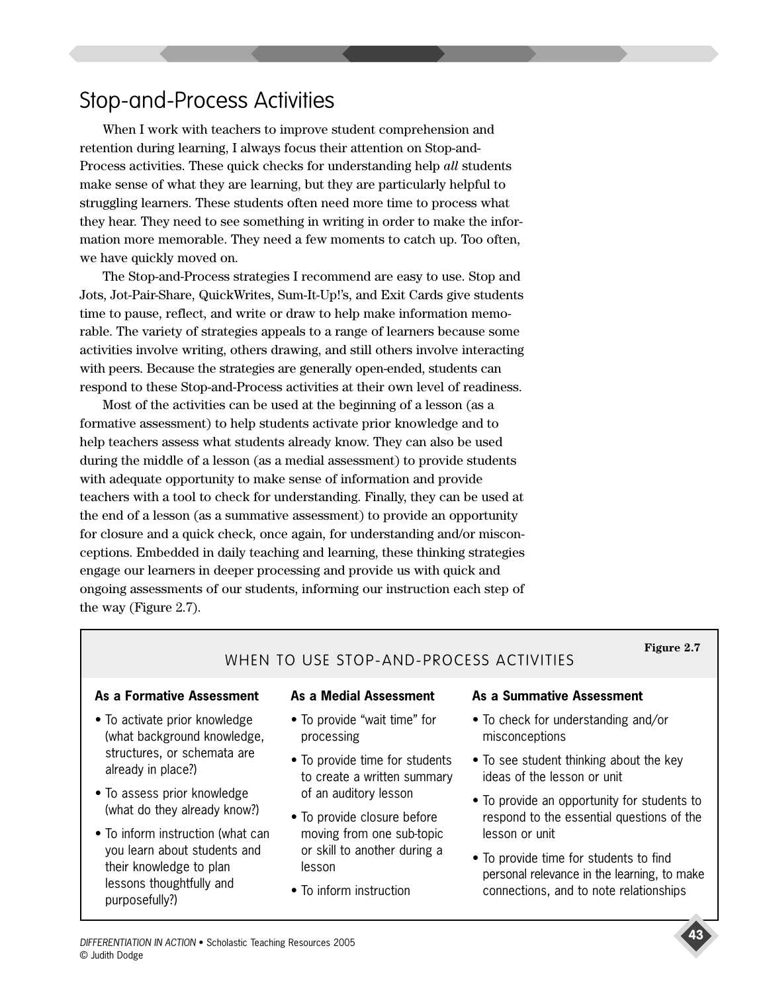# Stop-and-Process Activities

When I work with teachers to improve student comprehension and retention during learning, I always focus their attention on Stop-and-Process activities. These quick checks for understanding help *all* students make sense of what they are learning, but they are particularly helpful to struggling learners. These students often need more time to process what they hear. They need to see something in writing in order to make the information more memorable. They need a few moments to catch up. Too often, we have quickly moved on.

The Stop-and-Process strategies I recommend are easy to use. Stop and Jots, Jot-Pair-Share, QuickWrites, Sum-It-Up!'s, and Exit Cards give students time to pause, reflect, and write or draw to help make information memorable. The variety of strategies appeals to a range of learners because some activities involve writing, others drawing, and still others involve interacting with peers. Because the strategies are generally open-ended, students can respond to these Stop-and-Process activities at their own level of readiness.

Most of the activities can be used at the beginning of a lesson (as a formative assessment) to help students activate prior knowledge and to help teachers assess what students already know. They can also be used during the middle of a lesson (as a medial assessment) to provide students with adequate opportunity to make sense of information and provide teachers with a tool to check for understanding. Finally, they can be used at the end of a lesson (as a summative assessment) to provide an opportunity for closure and a quick check, once again, for understanding and/or misconceptions. Embedded in daily teaching and learning, these thinking strategies engage our learners in deeper processing and provide us with quick and ongoing assessments of our students, informing our instruction each step of the way (Figure 2.7).

### **Figure 2.7**

### WHEN TO USE STOP-AND-PROCESS ACTIVITIES

### **As a Formative Assessment**

- To activate prior knowledge (what background knowledge, structures, or schemata are already in place?)
- To assess prior knowledge (what do they already know?)
- To inform instruction (what can you learn about students and their knowledge to plan lessons thoughtfully and purposefully?)

### **As a Medial Assessment**

- To provide "wait time" for processing
- To provide time for students to create a written summary of an auditory lesson
- To provide closure before moving from one sub-topic or skill to another during a lesson
- To inform instruction

### **As a Summative Assessment**

- To check for understanding and/or misconceptions
- To see student thinking about the key ideas of the lesson or unit
- To provide an opportunity for students to respond to the essential questions of the lesson or unit
- To provide time for students to find personal relevance in the learning, to make connections, and to note relationships